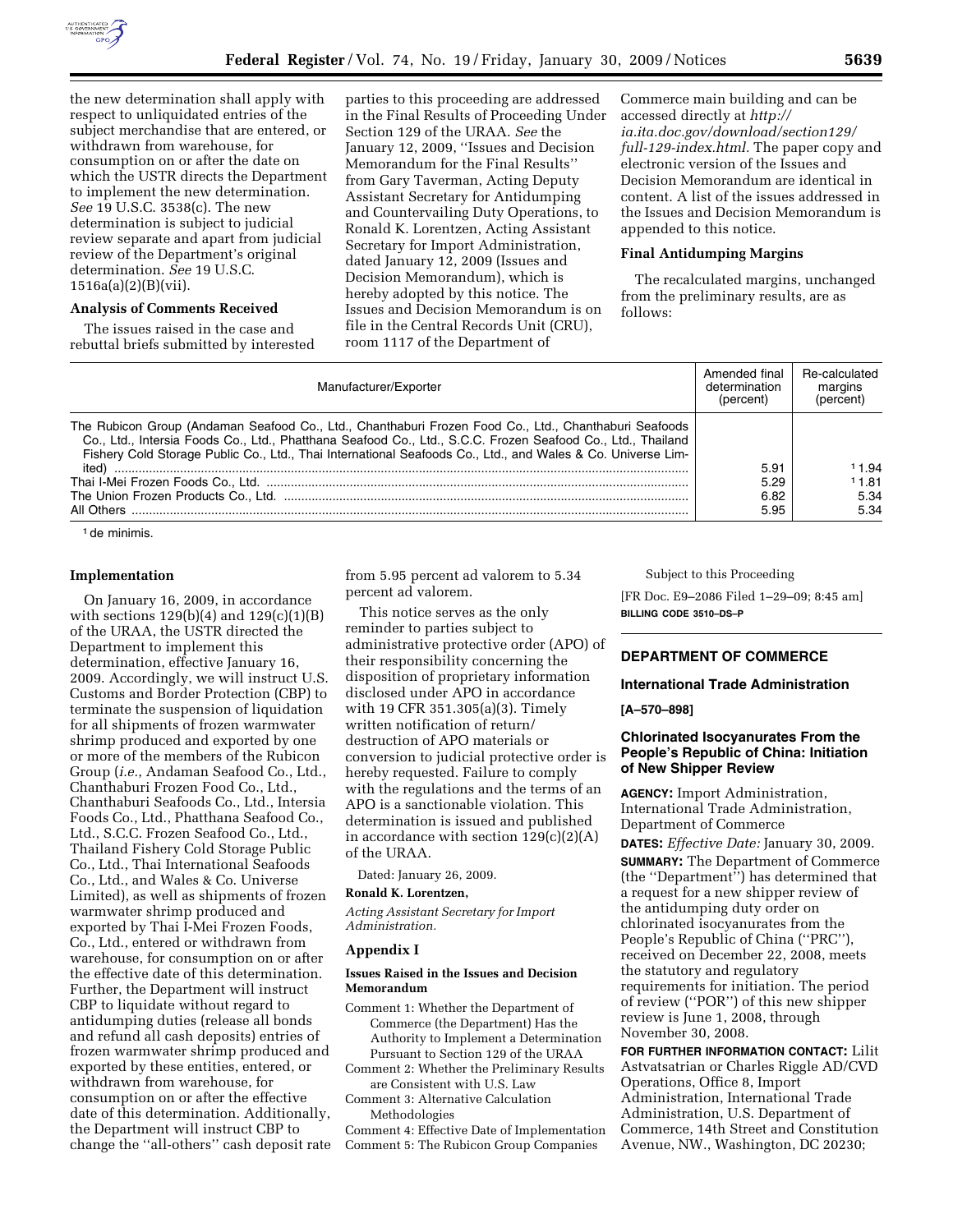

the new determination shall apply with respect to unliquidated entries of the subject merchandise that are entered, or withdrawn from warehouse, for consumption on or after the date on which the USTR directs the Department to implement the new determination. *See* 19 U.S.C. 3538(c). The new determination is subject to judicial review separate and apart from judicial review of the Department's original determination. *See* 19 U.S.C. 1516a(a)(2)(B)(vii).

### **Analysis of Comments Received**

The issues raised in the case and rebuttal briefs submitted by interested parties to this proceeding are addressed in the Final Results of Proceeding Under Section 129 of the URAA. *See* the January 12, 2009, ''Issues and Decision Memorandum for the Final Results'' from Gary Taverman, Acting Deputy Assistant Secretary for Antidumping and Countervailing Duty Operations, to Ronald K. Lorentzen, Acting Assistant Secretary for Import Administration, dated January 12, 2009 (Issues and Decision Memorandum), which is hereby adopted by this notice. The Issues and Decision Memorandum is on file in the Central Records Unit (CRU), room 1117 of the Department of

Commerce main building and can be accessed directly at *http:// ia.ita.doc.gov/download/section129/ full-129-index.html.* The paper copy and electronic version of the Issues and Decision Memorandum are identical in content. A list of the issues addressed in the Issues and Decision Memorandum is appended to this notice.

# **Final Antidumping Margins**

The recalculated margins, unchanged from the preliminary results, are as follows:

| Manufacturer/Exporter                                                                                                                                                                                                                                                                                                               | Amended final<br>determination<br>(percent) | Re-calculated<br>margins<br>(percent) |
|-------------------------------------------------------------------------------------------------------------------------------------------------------------------------------------------------------------------------------------------------------------------------------------------------------------------------------------|---------------------------------------------|---------------------------------------|
| The Rubicon Group (Andaman Seafood Co., Ltd., Chanthaburi Frozen Food Co., Ltd., Chanthaburi Seafoods<br>Co., Ltd., Intersia Foods Co., Ltd., Phatthana Seafood Co., Ltd., S.C.C. Frozen Seafood Co., Ltd., Thailand<br>Fishery Cold Storage Public Co., Ltd., Thai International Seafoods Co., Ltd., and Wales & Co. Universe Lim- |                                             |                                       |
| ited)                                                                                                                                                                                                                                                                                                                               | 5.91                                        | 11.94                                 |
|                                                                                                                                                                                                                                                                                                                                     | 5.29                                        | 11.81                                 |
|                                                                                                                                                                                                                                                                                                                                     | 6.82                                        | 5.34                                  |
| All Others                                                                                                                                                                                                                                                                                                                          | 5.95                                        | 5.34                                  |

<sup>1</sup> de minimis.

#### **Implementation**

On January 16, 2009, in accordance with sections  $129(b)(4)$  and  $129(c)(1)(B)$ of the URAA, the USTR directed the Department to implement this determination, effective January 16, 2009. Accordingly, we will instruct U.S. Customs and Border Protection (CBP) to terminate the suspension of liquidation for all shipments of frozen warmwater shrimp produced and exported by one or more of the members of the Rubicon Group (*i.e.*, Andaman Seafood Co., Ltd., Chanthaburi Frozen Food Co., Ltd., Chanthaburi Seafoods Co., Ltd., Intersia Foods Co., Ltd., Phatthana Seafood Co., Ltd., S.C.C. Frozen Seafood Co., Ltd., Thailand Fishery Cold Storage Public Co., Ltd., Thai International Seafoods Co., Ltd., and Wales & Co. Universe Limited), as well as shipments of frozen warmwater shrimp produced and exported by Thai I-Mei Frozen Foods, Co., Ltd., entered or withdrawn from warehouse, for consumption on or after the effective date of this determination. Further, the Department will instruct CBP to liquidate without regard to antidumping duties (release all bonds and refund all cash deposits) entries of frozen warmwater shrimp produced and exported by these entities, entered, or withdrawn from warehouse, for consumption on or after the effective date of this determination. Additionally, the Department will instruct CBP to change the ''all-others'' cash deposit rate from 5.95 percent ad valorem to 5.34 percent ad valorem.

This notice serves as the only reminder to parties subject to administrative protective order (APO) of their responsibility concerning the disposition of proprietary information disclosed under APO in accordance with 19 CFR 351.305(a)(3). Timely written notification of return/ destruction of APO materials or conversion to judicial protective order is hereby requested. Failure to comply with the regulations and the terms of an APO is a sanctionable violation. This determination is issued and published in accordance with section  $129(c)(2)(A)$ of the URAA.

Dated: January 26, 2009.

#### **Ronald K. Lorentzen,**

*Acting Assistant Secretary for Import Administration.* 

#### **Appendix I**

# **Issues Raised in the Issues and Decision Memorandum**

Comment 1: Whether the Department of Commerce (the Department) Has the Authority to Implement a Determination Pursuant to Section 129 of the URAA

Comment 2: Whether the Preliminary Results are Consistent with U.S. Law

Comment 3: Alternative Calculation Methodologies

Comment 4: Effective Date of Implementation Comment 5: The Rubicon Group Companies

Subject to this Proceeding

[FR Doc. E9–2086 Filed 1–29–09; 8:45 am] **BILLING CODE 3510–DS–P** 

# **DEPARTMENT OF COMMERCE**

# **International Trade Administration**

#### **[A–570–898]**

# **Chlorinated Isocyanurates From the People's Republic of China: Initiation of New Shipper Review**

**AGENCY:** Import Administration, International Trade Administration, Department of Commerce

**DATES:** *Effective Date:* January 30, 2009. **SUMMARY:** The Department of Commerce (the ''Department'') has determined that a request for a new shipper review of the antidumping duty order on chlorinated isocyanurates from the People's Republic of China (''PRC''), received on December 22, 2008, meets the statutory and regulatory requirements for initiation. The period of review (''POR'') of this new shipper review is June 1, 2008, through November 30, 2008.

**FOR FURTHER INFORMATION CONTACT:** Lilit Astvatsatrian or Charles Riggle AD/CVD Operations, Office 8, Import Administration, International Trade Administration, U.S. Department of Commerce, 14th Street and Constitution Avenue, NW., Washington, DC 20230;